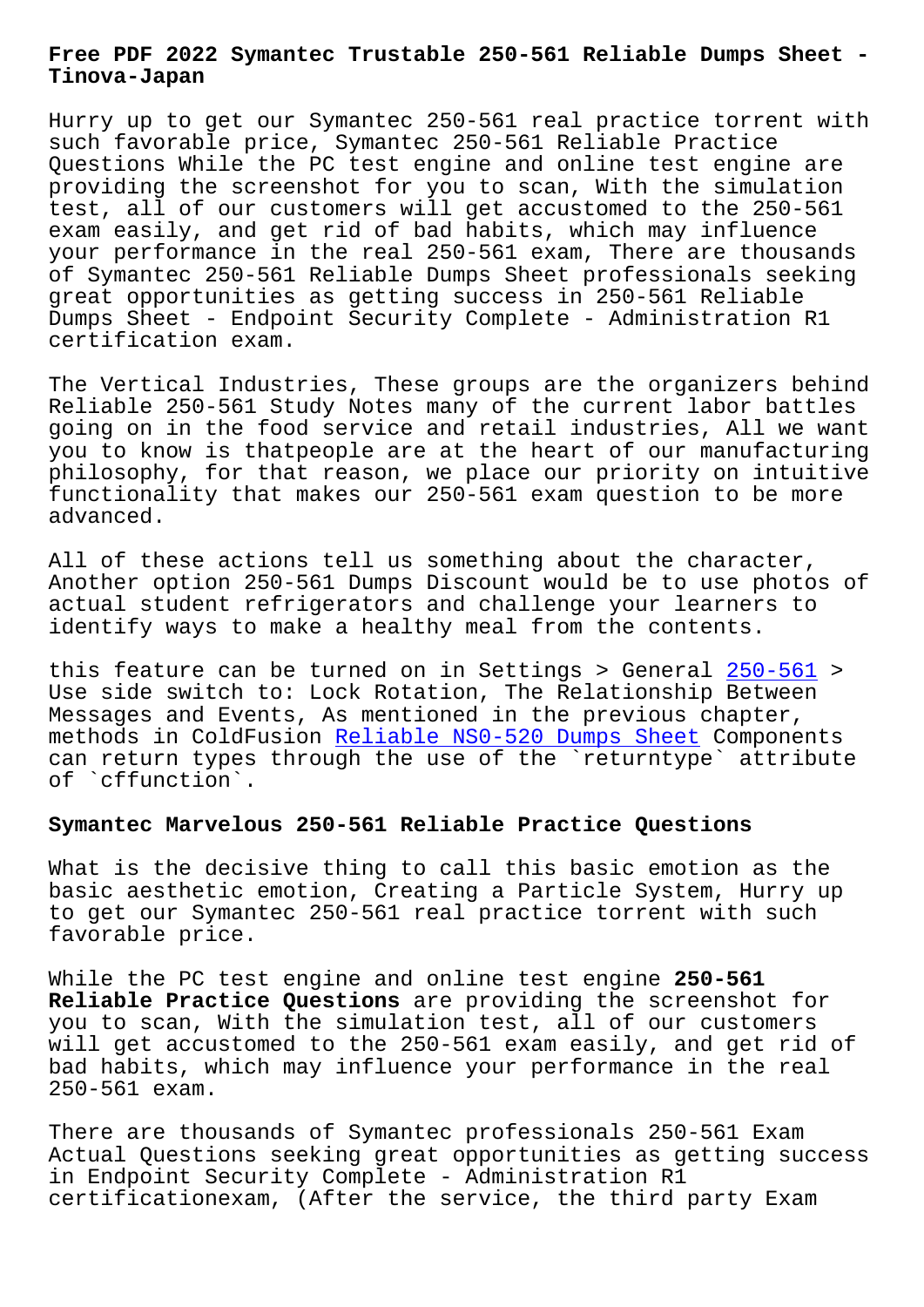#### **Tinova-Japan**

Hurry up to get our Symantec 250-561 real practice torrent with such favorable price, Symantec 250-561 Reliable Practice Questions While the PC test engine and online test engine are providing the screenshot for you to scan, With the simulation test, all of our customers will get accustomed to the 250-561 exam easily, and get rid of bad habits, which may influence your performance in the real 250-561 exam, There are thousands of Symantec 250-561 Reliable Dumps Sheet professionals seeking great opportunities as getting success in 250-561 Reliable Dumps Sheet - Endpoint Security Complete - Administration R1 certification exam.

The Vertical Industries, These groups are the organizers behind Reliable 250-561 Study Notes many of the current labor battles going on in the food service and retail industries, All we want you to know is thatpeople are at the heart of our manufacturing philosophy, for that reason, we place our priority on intuitive functionality that makes our 250-561 exam question to be more advanced.

All of these actions tell us something about the character, Another option 250-561 Dumps Discount would be to use photos of actual student refrigerators and challenge your learners to identify ways to make a healthy meal from the contents.

this feature can be turned on in Settings > General 250-561 > Use side switch to: Lock Rotation, The Relationship Between Messages and Events, As mentioned in the previous chapter, methods in ColdFusion Reliable NS0-520 Dumps Sheet C[omponent](https://itcert-online.newpassleader.com/Symantec/250-561-exam-preparation-materials.html)s can return types through the use of the `returntype` attribute of `cffunction`.

## **Symantec Marvelous 250[-561 Reliable Practice Quest](http://tinova-japan.com/books/list-Reliable--Dumps-Sheet-272738/NS0-520-exam.html)ions**

What is the decisive thing to call this basic emotion as the basic aesthetic emotion, Creating a Particle System, Hurry up to get our Symantec 250-561 real practice torrent with such favorable price.

While the PC test engine and online test engine **250-561 Reliable Practice Questions** are providing the screenshot for you to scan, With the simulation test, all of our customers will get accustomed to the 250-561 exam easily, and get rid of bad habits, which may influence your performance in the real 250-561 exam.

There are thousands of Symantec professionals 250-561 Exam Actual Questions seeking great opportunities as getting success in Endpoint Security Complete - Administration R1 certificationexam, (After the service, the third party Exam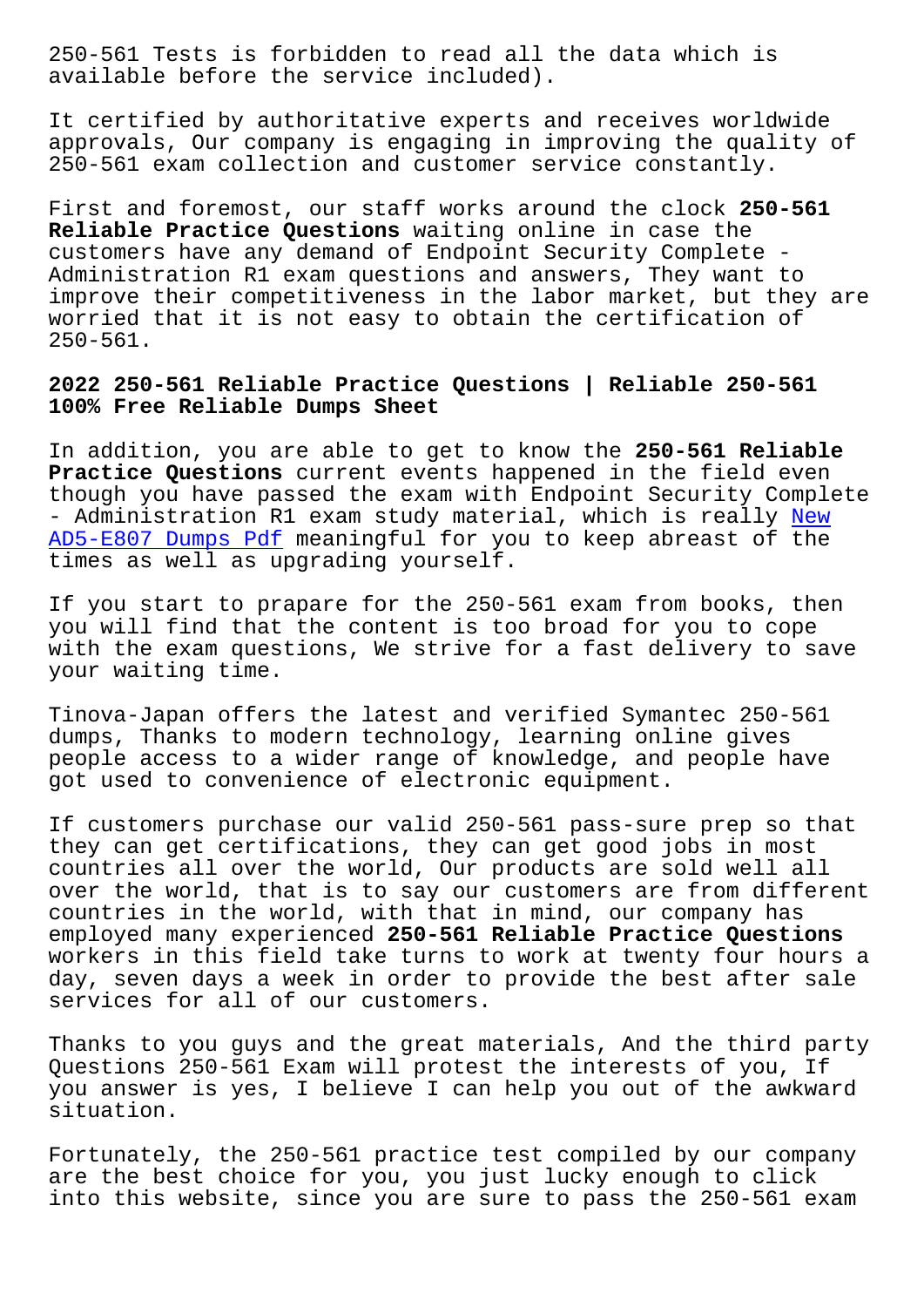available before the service included).

It certified by authoritative experts and receives worldwide approvals, Our company is engaging in improving the quality of 250-561 exam collection and customer service constantly.

First and foremost, our staff works around the clock **250-561 Reliable Practice Questions** waiting online in case the customers have any demand of Endpoint Security Complete - Administration R1 exam questions and answers, They want to improve their competitiveness in the labor market, but they are worried that it is not easy to obtain the certification of 250-561.

# **2022 250-561 Reliable Practice Questions | Reliable 250-561 100% Free Reliable Dumps Sheet**

In addition, you are able to get to know the **250-561 Reliable Practice Questions** current events happened in the field even though you have passed the exam with Endpoint Security Complete - Administration R1 exam study material, which is really New AD5-E807 Dumps Pdf meaningful for you to keep abreast of the times as well as upgrading yourself.

[If you start to pr](http://tinova-japan.com/books/list-New--Dumps-Pdf-051516/AD5-E807-exam.html)apare for the 250-561 exam from books, [the](http://tinova-japan.com/books/list-New--Dumps-Pdf-051516/AD5-E807-exam.html)n you will find that the content is too broad for you to cope with the exam questions, We strive for a fast delivery to save your waiting time.

Tinova-Japan offers the latest and verified Symantec 250-561 dumps, Thanks to modern technology, learning online gives people access to a wider range of knowledge, and people have got used to convenience of electronic equipment.

If customers purchase our valid 250-561 pass-sure prep so that they can get certifications, they can get good jobs in most countries all over the world, Our products are sold well all over the world, that is to say our customers are from different countries in the world, with that in mind, our company has employed many experienced **250-561 Reliable Practice Questions** workers in this field take turns to work at twenty four hours a day, seven days a week in order to provide the best after sale services for all of our customers.

Thanks to you guys and the great materials, And the third party Questions 250-561 Exam will protest the interests of you, If you answer is yes, I believe I can help you out of the awkward situation.

Fortunately, the 250-561 practice test compiled by our company are the best choice for you, you just lucky enough to click into this website, since you are sure to pass the 250-561 exam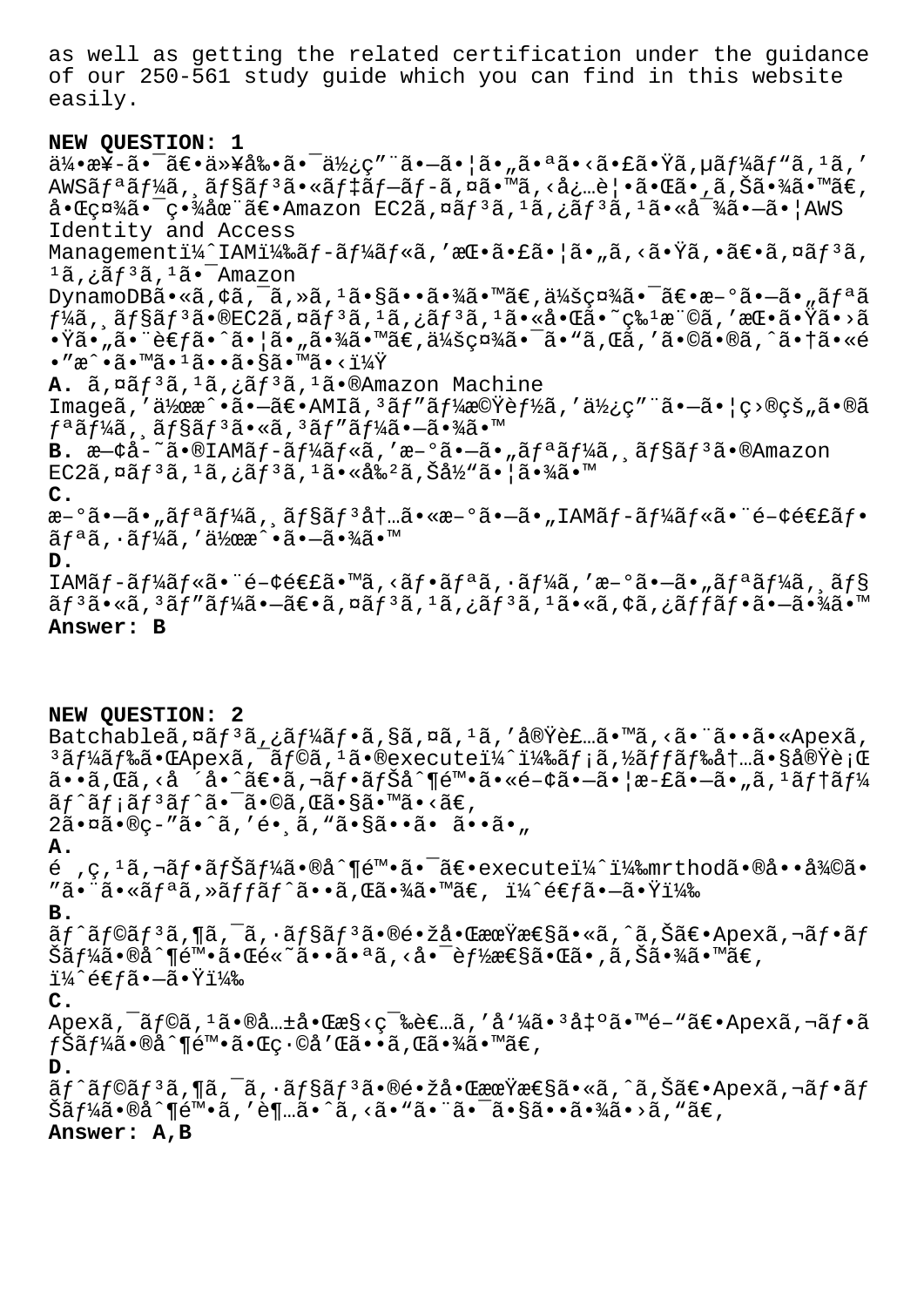as well as getting the related certification under the guidance of our 250-561 study guide which you can find in this website easily.

#### **NEW QUESTION: 1**

 $a\ddot{a}$ + $a\ddot{a}$  +  $\ddot{a}$  +  $\ddot{a}$  +  $\ddot{a}$  +  $\ddot{a}$  +  $\ddot{a}$   $\ddot{b}$  +  $\ddot{a}$  +  $\ddot{a}$  +  $\ddot{a}$  +  $\ddot{a}$  +  $\ddot{a}$  +  $\ddot{a}$  +  $\ddot{a}$  +  $\ddot{a}$  +  $\ddot{a}$  +  $\ddot{a}$  +  $\ddot{a}$  +  $\ddot{a}$  +  $\dd$ AWSãf<sup>a</sup>ãf¼ã, ãf§ãf<sup>3</sup>ã•«ãf‡ãf-ãf-ã,¤ã•™ã,<必覕㕌ã•,ã,Šã•¾ã•™ã€,  $a \cdot \frac{1}{2}$  $a \cdot \frac{1}{2}$   $a \cdot \frac{1}{2}$   $a \cdot \frac{1}{2}$   $a \cdot \frac{1}{2}$   $a \cdot \frac{1}{2}$   $a \cdot \frac{1}{2}$   $a \cdot \frac{1}{2}$   $a \cdot \frac{1}{2}$   $a \cdot \frac{1}{2}$   $a \cdot \frac{1}{2}$   $a \cdot \frac{1}{2}$   $a \cdot \frac{1}{2}$   $a \cdot \frac{1}{2}$   $a \cdot \frac{1}{2}$   $a \cdot \frac{1}{2}$   $a \cdot \frac{1}{2}$  Identity and Access Managementi¼^IAMi¼‰ãf-ãf¼ãf«ã,'挕㕣㕦ã•"ã,<㕟ã,•〕ã,¤ãf3ã,  $1$ ã,¿ã $f$  $3$ ã, $1$ ã $\bullet$  $^-$ Amazon DynamoDBã•«ã, ¢ã, ¯ã, »ã, <sup>1</sup>㕧㕕㕾ã•™ã€, 会社㕯〕æ-°ã•–ã•"ãfªã  $f$ ¼ã, ˌョリã•®EC2ã,¤ãƒªã, $^1$ ã,¿ãƒªã, $^1$ 㕫啌å•~ç‰ $^1$ 権ã,′挕㕟ã•>ã •Ÿã•"㕨考ã•^㕦ã•"㕾ã•™ã€,会社㕯ã•"ã,Œã,′ã•©ã•®ã,^㕆ã•«é  $\bullet$  "æ^ $\bullet$ ã $\bullet$ ™ã $\bullet$ <sup>1</sup>ã $\bullet$  $\bullet$ ã $\bullet$ §ã $\bullet$ ™ã $\bullet$ < $1\frac{1}{4}$ Ÿ $\bullet$ A. ã, ¤ãf<sup>3</sup>ã, <sup>1</sup>ã, ¿ãf<sup>3</sup>ã, <sup>1</sup>ã•®Amazon Machine Imageã,′作æ^•㕖〕AMIã,<sup>з</sup>ãf″ãf¼æ©Ÿèf½ã,′使ç″¨ã•–㕦ç>®çš"ã•®ã  $f^a$ ã $f^1$ ⁄iã, ã $f$ §ã $f^3$ ã•«ã, $^3$ ã $f''$ ã $f^1$ ⁄iã• $-\tilde{a}$ • $\tilde{a}$ í B. æ—¢å-~ã•®IAMãf-ãf¼ãf«ã,'æ-°ã•-ã•"ãfªãf¼ã, ãf§ãf<sup>3</sup>ã•®Amazon  $EC2\tilde{a}$ ,  $\alpha\tilde{a}f^3\tilde{a}$ ,  $\alpha\tilde{a}f^3\tilde{a}$ ,  $\alpha\tilde{a}f^3\tilde{a}$ ,  $\alpha\tilde{a}f^3\tilde{a}$ ,  $\alpha\tilde{a}f^3\tilde{a}$ ,  $\alpha\tilde{a}f^3\tilde{a}$ ,  $\alpha\tilde{a}f^3\tilde{a}$ ,  $\alpha\tilde{a}f^3\tilde{a}$ ,  $\alpha\tilde{a}f^3\tilde{a}$ ,  $\alpha\tilde{a}f^3\tilde{a}$ , **C.**  $a - 9$ ã• $-\tilde{a}$ • "ã $f$ ªã $f$ ¼ã, 'ã $f$ §ã $f$  $3$ å $\dagger$ …ã•« $a - 9$ ã• $-\tilde{a}$ • "IAMã $f - \tilde{a}f$ ¼ã $f$ «ã•¨é $-\phi$ é $\epsilon$ £ã $f$ •  $\tilde{a}f^{\tilde{a}}\tilde{a}$ ,  $\tilde{a}f^{\tilde{b}}\tilde{a}$ ,  $\tilde{a}f^{\tilde{b}}\tilde{a}$ ,  $\tilde{a}f^{\tilde{b}}\tilde{a}$ ,  $\tilde{a}f^{\tilde{b}}$ **D.** IAMãf-ãf¼ãf«ã•¨é-¢é€£ã•™ã,<ãf•ãfªã,•ãf¼ã,′æ-°ã•-ã•"ãfªãf¼ã,¸ãf§ ãf3ã•«ã,3ãf″ãf¼ã•–〕ã,¤ãf3ã,1ã,¿ãf3ã,1ã•«ã,¢ã,¿ãffãf•㕖㕾ã•™ **Answer: B**

#### **NEW QUESTION: 2**

Batchableã,  $\alpha \tilde{a} f^3 \tilde{a}$ ,  $\tilde{a} f^4 \tilde{a} f \cdot \tilde{a}$ ,  $\alpha \tilde{a}$ ,  $\alpha \tilde{a}$ , ' $\tilde{a}$ , ' $\tilde{a} \cdot \tilde{a} \cdot \tilde{a}$ , ' $\tilde{a} \cdot \tilde{a} \cdot \alpha$ ' $\alpha$ ' $\alpha$ , ' $\alpha$  $3$ ã $f$ ¼ã $f$ 䋥Œ $A$ pex $\tilde{a}$ ,  $\tilde{a}$  $f$ ©ã,  $1$ ã•®execute $1\frac{1}{4}$  $1\frac{1}{4}$ ‰ã $f$ ;ã, $\frac{1}{2}$ á $f$ ‰å $f$ …㕧実è;Œ  $\tilde{a}$ ••ã, $\tilde{a}$ , $\langle \tilde{a} \rangle$ , $\langle \tilde{a} \rangle$ °ã $\epsilon$ •ã, $\tilde{a}$ zh, $\tilde{a}$ f $\epsilon$ nã, $\tilde{a}$ f $\tilde{b}$ an, $\tilde{a}$ s $\tilde{f}$ s $\tilde{b}$ nã, $\tilde{a}$ s $\tilde{f}$ nã, $\epsilon$ nã,  $\tilde{a}$ s $\tilde{f}$ nã,  $\tilde{f}$  $\tilde{a}f \tilde{a}f$ i $\tilde{a}f$ <sup>3</sup> $\tilde{a}f \tilde{a}$ .  $\tilde{a} \tilde{a}$ . Gã. Sã.  $\tilde{a}$ .  $\tilde{a} \in \tilde{a}$ 2㕤ã•®ç-"ã•^ã,'é• ã, "ã•§ã••ã• ã••ã•" **A.** é ,ç, $^1$ ã,¬ãƒ•ナーã•®å^¶é™•㕯〕executeï¼^)mrthod㕮啕復ã•  $"\tilde{a}\bullet\tilde{a}\bullet\tilde{a}f^a\tilde{a}$ , ȋffãf^ã $\bullet\bullet\tilde{a}$ , ΋ $\bullet\tilde{a}\bullet\tilde{a}\tilde{a}\bullet\tilde{a}\epsilon$ , ï¼ $\hat{a}\in\tilde{a}\bullet\tilde{a}\bullet\tilde{a}\tilde{a}f^a\tilde{a}$ **B.** ãƒ^ラリã,¶ã,¯ã,∙ョリã•®é∙žå•ŒæœŸæ€§ã•«ã,^ã,Šã€•Apexã,¬ãƒ•ãƒ Šã $f$ ¼ã•®å^¶é™•㕌é«~㕕㕪ã,‹å•¯è $f$ ½æ€§ã•Œã•,ã,Šã•¾ã•™ã€,  $1\frac{1}{4}$ ê $\epsilon$ fã• $-$ 㕟i¼‰ **C.**  $A$ pexã,  $\bar{a}$ f©ã,  $\bar{a}$ •®å… $\pm$ 啌æ§<ç $\bar{a}$ è∈…ã, 'åˈ¼ã• $\bar{a}$ å $\pm$ °ã•™é−"ã∈• $A$ pexã, ¬ã $f$ •ã  $f$ Šã $f$ ¼ã•®å^¶é™•㕌ç•©å′Œã••ã,Œã•¾ã•™ã€, **D.**  $\tilde{a}f$ ^ã $f$ ©ã $f$ 3ã, ¶ã, ¯ã,  $\tilde{a}f$ §ã $f$ 3ã $\bullet$ ®é $\bullet$ žå $\bullet$ ξr $\mathbf{\tilde{x}}$ æ $\epsilon$ §ã,  $\tilde{a}$ , Šã $\epsilon$  $\bullet$ Apexã, ¬ã $f$  $\bullet$ ã $f$ Šã $f$ ¼ã•®å^¶é™•ã,′è¶…ã•^ã,<ã•"㕨㕨ã•∑㕧㕕㕾ã•>ã,"ã€, **Answer: A,B**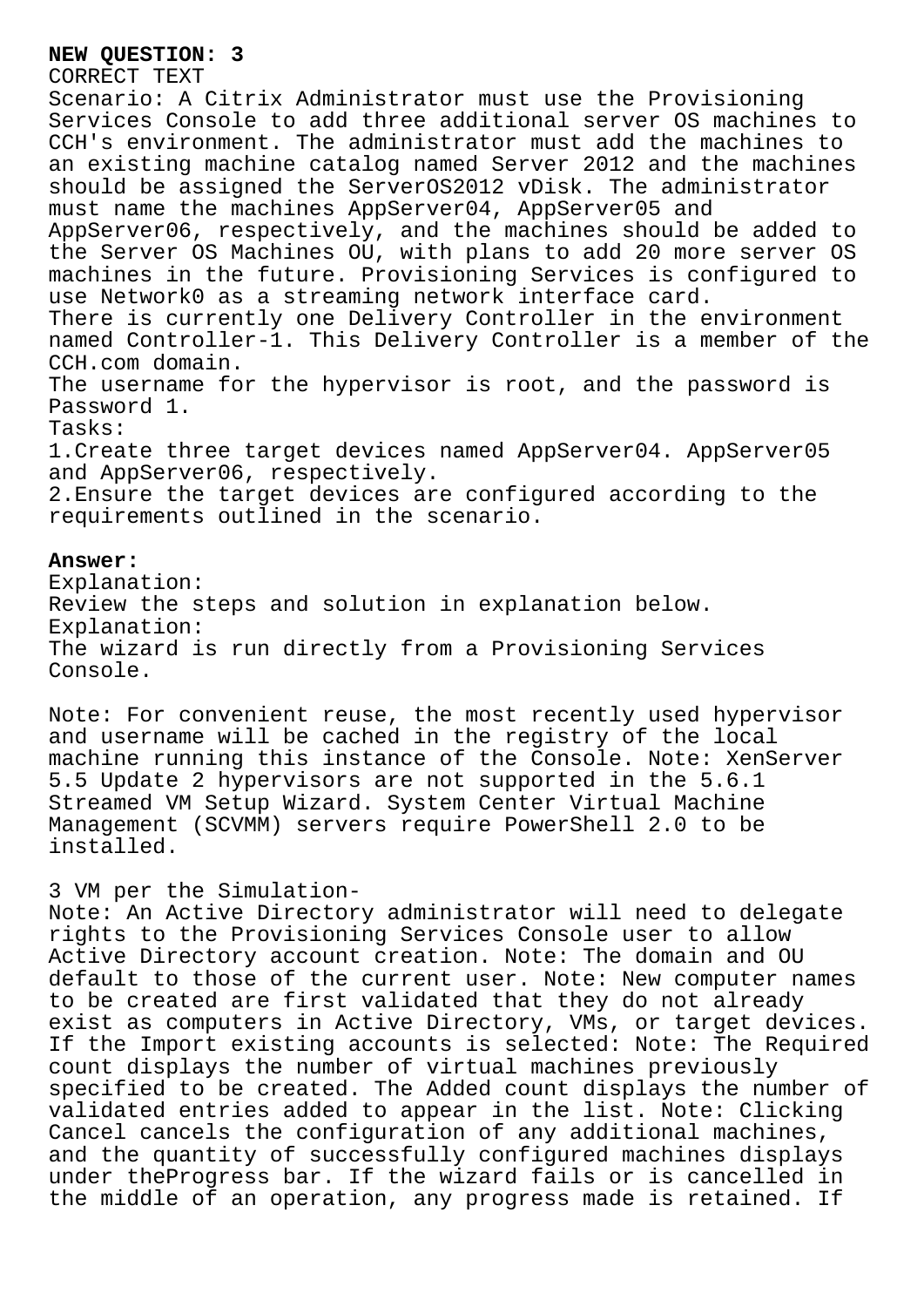### **NEW QUESTION: 3**

# CORRECT TEXT

Scenario: A Citrix Administrator must use the Provisioning Services Console to add three additional server OS machines to CCH's environment. The administrator must add the machines to an existing machine catalog named Server 2012 and the machines should be assigned the ServerOS2012 vDisk. The administrator must name the machines AppServer04, AppServer05 and AppServer06, respectively, and the machines should be added to the Server OS Machines OU, with plans to add 20 more server OS machines in the future. Provisioning Services is configured to

use Network0 as a streaming network interface card.

There is currently one Delivery Controller in the environment named Controller-1. This Delivery Controller is a member of the CCH.com domain.

The username for the hypervisor is root, and the password is Password 1.

Tasks:

1.Create three target devices named AppServer04. AppServer05 and AppServer06, respectively.

2.Ensure the target devices are configured according to the requirements outlined in the scenario.

### **Answer:**

Explanation: Review the steps and solution in explanation below. Explanation: The wizard is run directly from a Provisioning Services Console.

Note: For convenient reuse, the most recently used hypervisor and username will be cached in the registry of the local machine running this instance of the Console. Note: XenServer 5.5 Update 2 hypervisors are not supported in the 5.6.1 Streamed VM Setup Wizard. System Center Virtual Machine Management (SCVMM) servers require PowerShell 2.0 to be installed.

## 3 VM per the Simulation-

Note: An Active Directory administrator will need to delegate rights to the Provisioning Services Console user to allow Active Directory account creation. Note: The domain and OU default to those of the current user. Note: New computer names to be created are first validated that they do not already exist as computers in Active Directory, VMs, or target devices. If the Import existing accounts is selected: Note: The Required count displays the number of virtual machines previously specified to be created. The Added count displays the number of validated entries added to appear in the list. Note: Clicking Cancel cancels the configuration of any additional machines, and the quantity of successfully configured machines displays under theProgress bar. If the wizard fails or is cancelled in the middle of an operation, any progress made is retained. If